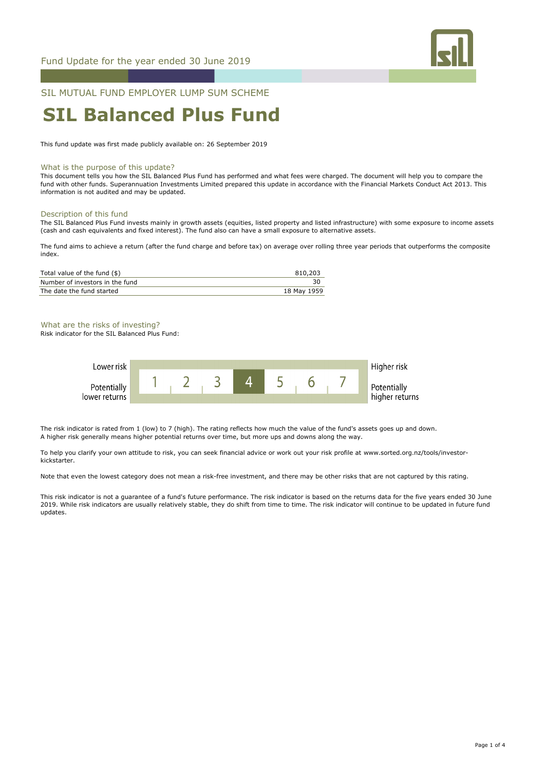

## SIL MUTUAL FUND EMPLOYER LUMP SUM SCHEME

# **SIL Balanced Plus Fund**

This fund update was first made publicly available on: 26 September 2019

### What is the purpose of this update?

This document tells you how the SIL Balanced Plus Fund has performed and what fees were charged. The document will help you to compare the fund with other funds. Superannuation Investments Limited prepared this update in accordance with the Financial Markets Conduct Act 2013. This information is not audited and may be updated.

#### Description of this fund

The SIL Balanced Plus Fund invests mainly in growth assets (equities, listed property and listed infrastructure) with some exposure to income assets (cash and cash equivalents and fixed interest). The fund also can have a small exposure to alternative assets.

The fund aims to achieve a return (after the fund charge and before tax) on average over rolling three year periods that outperforms the composite index.

| Total value of the fund (\$)    | 810,203     |
|---------------------------------|-------------|
| Number of investors in the fund |             |
| The date the fund started       | 18 May 1959 |

What are the risks of investing?

Risk indicator for the SIL Balanced Plus Fund:



The risk indicator is rated from 1 (low) to 7 (high). The rating reflects how much the value of the fund's assets goes up and down. A higher risk generally means higher potential returns over time, but more ups and downs along the way.

To help you clarify your own attitude to risk, you can seek financial advice or work out your risk profile at www.sorted.org.nz/tools/investorkickstarter.

Note that even the lowest category does not mean a risk-free investment, and there may be other risks that are not captured by this rating.

This risk indicator is not a guarantee of a fund's future performance. The risk indicator is based on the returns data for the five years ended 30 June 2019. While risk indicators are usually relatively stable, they do shift from time to time. The risk indicator will continue to be updated in future fund updates.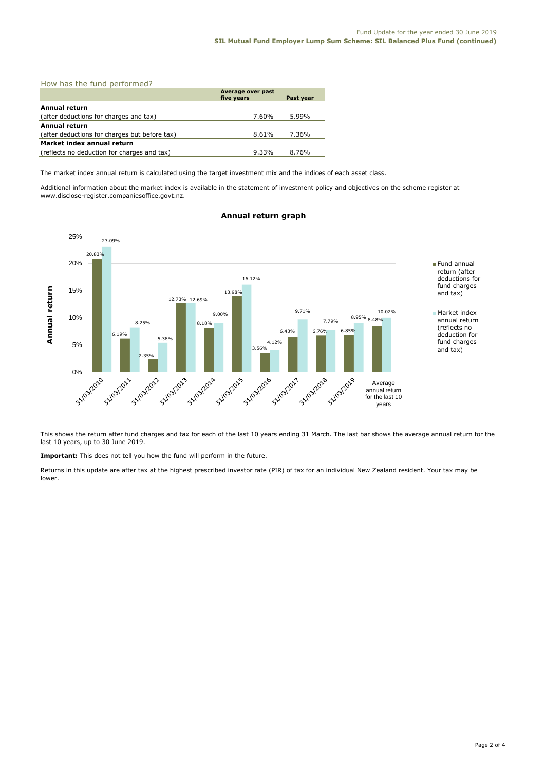| How has the fund performed?                   |                                 |           |  |  |
|-----------------------------------------------|---------------------------------|-----------|--|--|
|                                               | Average over past<br>five years | Past year |  |  |
| <b>Annual return</b>                          |                                 |           |  |  |
| (after deductions for charges and tax)        | 7.60%                           | 5.99%     |  |  |
| <b>Annual return</b>                          |                                 |           |  |  |
| (after deductions for charges but before tax) | 8.61%                           | 7.36%     |  |  |
| Market index annual return                    |                                 |           |  |  |
| (reflects no deduction for charges and tax)   | $9.33\%$                        | 8.76%     |  |  |

The market index annual return is calculated using the target investment mix and the indices of each asset class.

Additional information about the market index is available in the statement of investment policy and objectives on the scheme register at www.disclose-register.companiesoffice.govt.nz.



## **Annual return graph**

This shows the return after fund charges and tax for each of the last 10 years ending 31 March. The last bar shows the average annual return for the last 10 years, up to 30 June 2019.

**Important:** This does not tell you how the fund will perform in the future.

Returns in this update are after tax at the highest prescribed investor rate (PIR) of tax for an individual New Zealand resident. Your tax may be lower.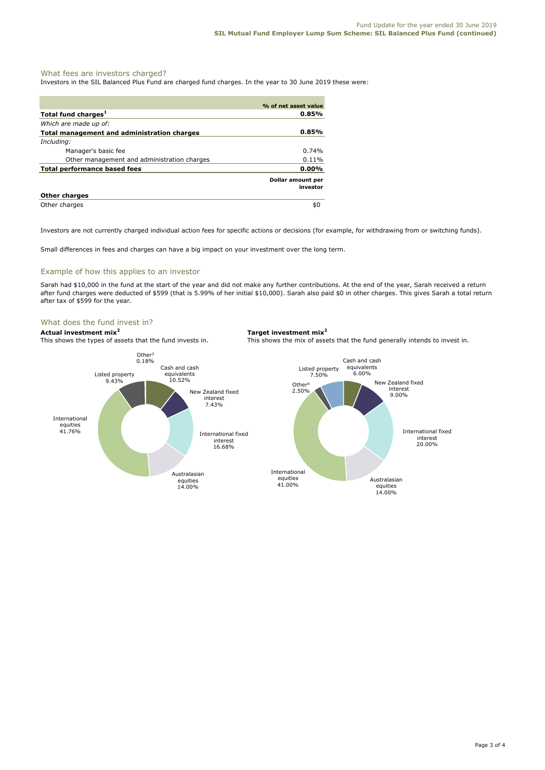## What fees are investors charged?

Investors in the SIL Balanced Plus Fund are charged fund charges. In the year to 30 June 2019 these were:

|                                             | % of net asset value          |
|---------------------------------------------|-------------------------------|
| Total fund charges <sup>1</sup>             | $0.85\%$                      |
| Which are made up of:                       |                               |
| Total management and administration charges | $0.85\%$                      |
| Including:                                  |                               |
| Manager's basic fee                         | $0.74\%$                      |
| Other management and administration charges | 0.11%                         |
| Total performance based fees                | 0.00%                         |
|                                             | Dollar amount per<br>investor |
| <b>Other charges</b>                        |                               |
| Other charges                               | \$0                           |

Investors are not currently charged individual action fees for specific actions or decisions (for example, for withdrawing from or switching funds).

Small differences in fees and charges can have a big impact on your investment over the long term.

## Example of how this applies to an investor

Sarah had \$10,000 in the fund at the start of the year and did not make any further contributions. At the end of the year, Sarah received a return after fund charges were deducted of \$599 (that is 5.99% of her initial \$10,000). Sarah also paid \$0 in other charges. This gives Sarah a total return after tax of \$599 for the year.

## What does the fund invest in?

**Actual investment mix<sup>2</sup> <b>Target investment mix**<sup>2</sup> **Target investment mix**<sup>2</sup> **This shows the types of assets that the fund invests in.** This shows the mix of assets

This shows the mix of assets that the fund generally intends to invest in.